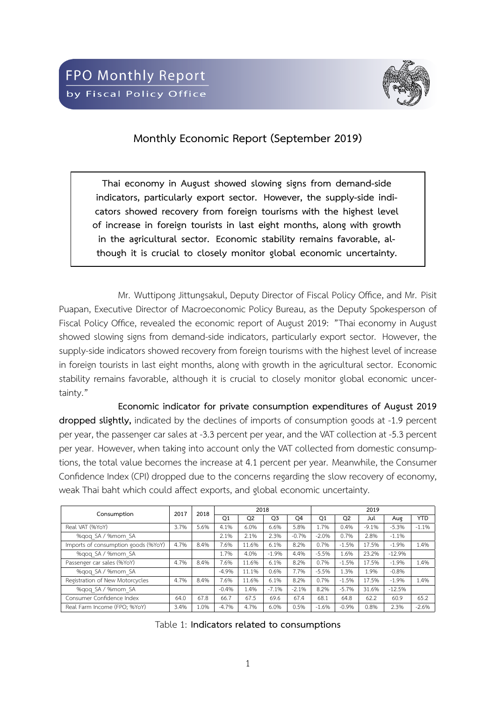

## **Monthly Economic Report (September 2019)**

**Thai economy in August showed slowing signs from demand-side indicators, particularly export sector. However, the supply-side indicators showed recovery from foreign tourisms with the highest level of increase in foreign tourists in last eight months, along with growth in the agricultural sector. Economic stability remains favorable, although it is crucial to closely monitor global economic uncertainty.**

Mr. Wuttipong Jittungsakul, Deputy Director of Fiscal Policy Office, and Mr. Pisit Puapan, Executive Director of Macroeconomic Policy Bureau, as the Deputy Spokesperson of Fiscal Policy Office, revealed the economic report of August 2019: "Thai economy in August showed slowing signs from demand-side indicators, particularly export sector. However, the supply-side indicators showed recovery from foreign tourisms with the highest level of increase in foreign tourists in last eight months, along with growth in the agricultural sector. Economic stability remains favorable, although it is crucial to closely monitor global economic uncertainty."

**Economic indicator for private consumption expenditures of August 2019 dropped slightly,** indicated by the declines of imports of consumption goods at -1.9 percent per year, the passenger car sales at -3.3 percent per year, and the VAT collection at -5.3 percent per year. However, when taking into account only the VAT collected from domestic consumptions, the total value becomes the increase at 4.1 percent per year. Meanwhile, the Consumer Confidence Index (CPI) dropped due to the concerns regarding the slow recovery of economy, weak Thai baht which could affect exports, and global economic uncertainty.

| Consumption                         | 2017 | 2018 |         | 2018           |                |                |         |                | 2019    |          |         |  |  |  |  |  |  |
|-------------------------------------|------|------|---------|----------------|----------------|----------------|---------|----------------|---------|----------|---------|--|--|--|--|--|--|
|                                     |      |      | Q1      | Q <sub>2</sub> | Q <sub>3</sub> | O <sub>4</sub> | Q1      | Q <sub>2</sub> | Jul     | Aug      | YTD.    |  |  |  |  |  |  |
| Real VAT (%YoY)                     | 3.7% | 5.6% | 4.1%    | 6.0%           | 6.6%           | 5.8%           | 1.7%    | 0.4%           | $-9.1%$ | $-5.3%$  | $-1.1%$ |  |  |  |  |  |  |
| %gog SA / %mom SA                   |      |      | 2.1%    | 2.1%           | 2.3%           | $-0.7%$        | $-2.0%$ | 0.7%           | 2.8%    | $-1.1%$  |         |  |  |  |  |  |  |
| Imports of consumption goods (%YoY) | 4.7% | 8.4% | 7.6%    | 11.6%          | 6.1%           | 8.2%           | 0.7%    | $-1.5%$        | 17.5%   | $-1.9%$  | 1.4%    |  |  |  |  |  |  |
| %gog SA / %mom SA                   |      |      | 1.7%    | 4.0%           | $-1.9%$        | 4.4%           | $-5.5%$ | 1.6%           | 23.2%   | $-12.9%$ |         |  |  |  |  |  |  |
| Passenger car sales (%YoY)          | 4.7% | 8.4% | 7.6%    | 11.6%          | 6.1%           | 8.2%           | 0.7%    | $-1.5%$        | 17.5%   | $-1.9%$  | 1.4%    |  |  |  |  |  |  |
| %gog SA / %mom SA                   |      |      | $-4.9%$ | 11.1%          | 0.6%           | 7.7%           | $-5.5%$ | 1.3%           | 1.9%    | $-0.8%$  |         |  |  |  |  |  |  |
| Registration of New Motorcycles     | 4.7% | 8.4% | 7.6%    | 11.6%          | 6.1%           | 8.2%           | 0.7%    | $-1.5%$        | 17.5%   | $-1.9%$  | 1.4%    |  |  |  |  |  |  |
| %gog SA / %mom SA                   |      |      | $-0.4%$ | 1.4%           | $-7.1%$        | $-2.1%$        | 8.2%    | $-5.7%$        | 31.6%   | $-12.5%$ |         |  |  |  |  |  |  |
| Consumer Confidence Index           | 64.0 | 67.8 | 66.7    | 67.5           | 69.6           | 67.4           | 68.1    | 64.8           | 62.2    | 60.9     | 65.2    |  |  |  |  |  |  |
| Real Farm Income (FPO: %YoY)        | 3.4% | 1.0% | $-4.7%$ | 4.7%           | 6.0%           | 0.5%           | $-1.6%$ | $-0.9%$        | 0.8%    | 2.3%     | $-2.6%$ |  |  |  |  |  |  |

Table 1: **Indicators related to consumptions**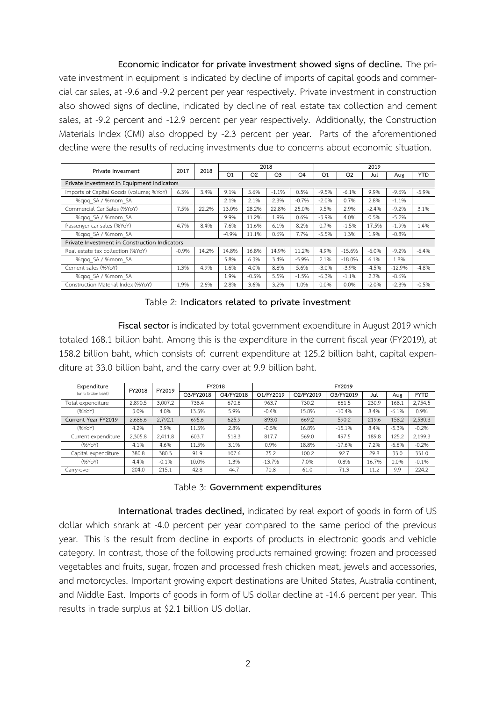**Economic indicator for private investment showed signs of decline.** The private investment in equipment is indicated by decline of imports of capital goods and commercial car sales, at -9.6 and -9.2 percent per year respectively. Private investment in construction also showed signs of decline, indicated by decline of real estate tax collection and cement sales, at -9.2 percent and -12.9 percent per year respectively. Additionally, the Construction Materials Index (CMI) also dropped by -2.3 percent per year. Parts of the aforementioned decline were the results of reducing investments due to concerns about economic situation.

| Private Invesment                             | 2017    | 2018  |         |                | 2018           |         |         |          | 2019    |          |            |  |  |
|-----------------------------------------------|---------|-------|---------|----------------|----------------|---------|---------|----------|---------|----------|------------|--|--|
|                                               |         |       | Q1      | Q <sub>2</sub> | Q <sub>3</sub> | Q4      | Q1      | Q2       | Jul     | Aug      | <b>YTD</b> |  |  |
| Private Investment in Equipment Indicators    |         |       |         |                |                |         |         |          |         |          |            |  |  |
| Imports of Capital Goods (volume; %YoY)       | 6.3%    | 3.4%  | 9.1%    | 5.6%           | $-1.1%$        | 0.5%    | $-9.5%$ | $-6.1%$  | 9.9%    | $-9.6%$  | $-5.9%$    |  |  |
| %gog SA / %mom SA                             |         |       | 2.1%    | 2.1%           | 2.3%           | $-0.7%$ | $-2.0%$ | 0.7%     | 2.8%    | $-1.1%$  |            |  |  |
| Commercial Car Sales (%YoY)                   | 7.5%    | 22.2% | 13.0%   | 28.2%          | 22.8%          | 25.0%   | 9.5%    | 2.9%     | $-2.4%$ | $-9.2%$  | 3.1%       |  |  |
| %gog SA / %mom SA                             |         |       | 9.9%    | 11.2%          | 1.9%           | 0.6%    | $-3.9%$ | 4.0%     | 0.5%    | $-5.2%$  |            |  |  |
| Passenger car sales (%YoY)                    | 4.7%    | 8.4%  | 7.6%    | 11.6%          | 6.1%           | 8.2%    | 0.7%    | $-1.5%$  | 17.5%   | $-1.9%$  | 1.4%       |  |  |
| %gog SA / %mom SA                             |         |       | $-4.9%$ | 11.1%          | 0.6%           | 7.7%    | $-5.5%$ | 1.3%     | 1.9%    | $-0.8%$  |            |  |  |
| Private Investment in Construction Indicators |         |       |         |                |                |         |         |          |         |          |            |  |  |
| Real estate tax collection (%YoY)             | $-0.9%$ | 14.2% | 14.8%   | 16.8%          | 14.9%          | 11.2%   | 4.9%    | $-15.6%$ | $-6.0%$ | $-9.2%$  | $-6.4%$    |  |  |
| %gog SA / %mom SA                             |         |       | 5.8%    | 6.3%           | 3.4%           | $-5.9%$ | 2.1%    | $-18.0%$ | 6.1%    | 1.8%     |            |  |  |
| Cement sales (%YoY)                           | 1.3%    | 4.9%  | 1.6%    | 4.0%           | 8.8%           | 5.6%    | $-3.0%$ | $-3.9%$  | $-4.5%$ | $-12.9%$ | $-4.8%$    |  |  |
| %gog SA / %mom SA                             |         |       | 1.9%    | $-0.5%$        | 5.5%           | $-1.5%$ | $-6.3%$ | $-1.1%$  | 2.7%    | $-8.6%$  |            |  |  |
| Construction Material Index (%YoY)            | 1.9%    | 2.6%  | 2.8%    | 3.6%           | 3.2%           | 1.0%    | 0.0%    | 0.0%     | $-2.0%$ | $-2.3%$  | $-0.5%$    |  |  |

Table 2: **Indicators related to private investment**

**Fiscal sector** is indicated by total government expenditure in August 2019 which totaled 168.1 billion baht. Among this is the expenditure in the current fiscal year (FY2019), at 158.2 billion baht, which consists of: current expenditure at 125.2 billion baht, capital expenditure at 33.0 billion baht, and the carry over at 9.9 billion baht.

| Expenditure          | FY2018  | FY2019  |           | FY2018    |           | FY2019<br>O2/FY2019<br>O3/FY2019<br>Jul<br>Aug<br>730.2<br>230.9<br>168.1<br>661.5<br>15.8%<br>$-10.4%$<br>8.4%<br>669.2<br>590.2<br>219.6<br>16.8%<br>$-15.1%$<br>8.4%<br>569.0<br>497.5<br>189.8<br>7.2%<br>18.8%<br>$-17.6%$<br>100.2<br>29.8<br>33.0<br>92.7<br>7.0%<br>0.8%<br>16.7% |      |      |         |             |  |
|----------------------|---------|---------|-----------|-----------|-----------|-------------------------------------------------------------------------------------------------------------------------------------------------------------------------------------------------------------------------------------------------------------------------------------------|------|------|---------|-------------|--|
| (unit: billion baht) |         |         | O3/FY2018 | O4/FY2018 | O1/FY2019 |                                                                                                                                                                                                                                                                                           |      |      |         | <b>FYTD</b> |  |
| Total expenditure    | 2,890.5 | 3,007.2 | 738.4     | 670.6     | 963.7     |                                                                                                                                                                                                                                                                                           |      |      |         | 2,754.5     |  |
| (%YoY)               | 3.0%    | 4.0%    | 13.3%     | 5.9%      | $-0.4%$   |                                                                                                                                                                                                                                                                                           |      |      | $-6.1%$ | 0.9%        |  |
| Current Year FY2019  | 2,686.6 | 2,792.1 | 695.6     | 625.9     | 893.0     |                                                                                                                                                                                                                                                                                           |      |      | 158.2   | 2,530.3     |  |
| (%YoY)               | 4.2%    | 3.9%    | 11.3%     | 2.8%      | $-0.5%$   |                                                                                                                                                                                                                                                                                           |      |      | $-5.3%$ | $-0.2%$     |  |
| Current expenditure  | 2,305.8 | 2,411.8 | 603.7     | 518.3     | 817.7     |                                                                                                                                                                                                                                                                                           |      |      | 125.2   | 2,199.3     |  |
| (%YoY)               | 4.1%    | 4.6%    | 11.5%     | 3.1%      | 0.9%      |                                                                                                                                                                                                                                                                                           |      |      | $-6.6%$ | $-0.2%$     |  |
| Capital expenditure  | 380.8   | 380.3   | 91.9      | 107.6     | 75.2      |                                                                                                                                                                                                                                                                                           |      |      |         | 331.0       |  |
| (%YoY)               | 4.4%    | $-0.1%$ | 10.0%     | 1.3%      | $-13.7%$  |                                                                                                                                                                                                                                                                                           |      |      | 0.0%    | $-0.1%$     |  |
| Carry-over           | 204.0   | 215.1   | 42.8      | 44.7      | 70.8      | 61.0                                                                                                                                                                                                                                                                                      | 71.3 | 11.2 | 9.9     | 224.2       |  |

Table 3: **Government expenditures**

**International trades declined,** indicated by real export of goods in form of US dollar which shrank at -4.0 percent per year compared to the same period of the previous year. This is the result from decline in exports of products in electronic goods and vehicle category. In contrast, those of the following products remained growing: frozen and processed vegetables and fruits, sugar, frozen and processed fresh chicken meat, jewels and accessories, and motorcycles. Important growing export destinations are United States, Australia continent, and Middle East. Imports of goods in form of US dollar decline at -14.6 percent per year. This results in trade surplus at \$2.1 billion US dollar.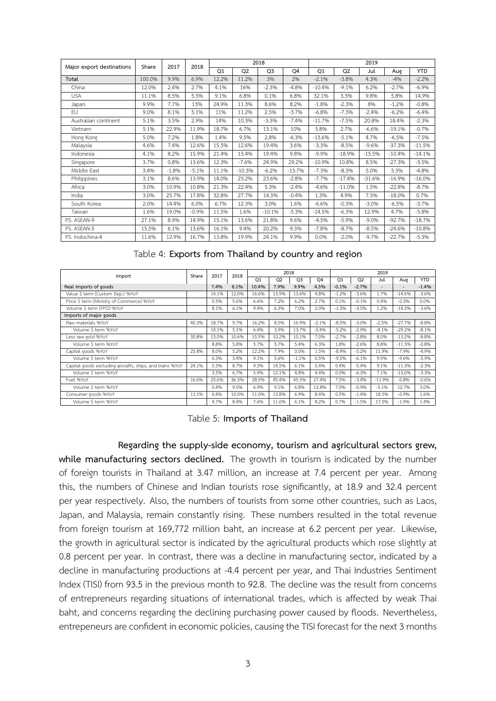|                           | Share  | 2017    | 2018    |       |                | 2018           |          |          |          | 2019     |                                                                                                                                                                                                                  |            |
|---------------------------|--------|---------|---------|-------|----------------|----------------|----------|----------|----------|----------|------------------------------------------------------------------------------------------------------------------------------------------------------------------------------------------------------------------|------------|
| Major export destinations |        |         |         | Q1    | Q <sub>2</sub> | Q <sub>3</sub> | Q4       | Q1       | Q2       | Jul      | Aug<br>$-4%$<br>$-2.7%$<br>5.8%<br>$-1.2%$<br>$-6.2%$<br>18.4%<br>$-19.1%$<br>$-6.5%$<br>$-37.3%$<br>$-10.4%$<br>$-27.3%$<br>5.3%<br>$-16.9%$<br>$-22.8%$<br>$-18.0%$<br>$-6.5%$<br>4.7%<br>$-92.7%$<br>$-24.6%$ | <b>YTD</b> |
| Total                     | 100.0% | 9.9%    | 6.9%    | 12.2% | 11.2%          | 3%             | 2%       | $-2.1%$  | $-3.8%$  | 4.3%     |                                                                                                                                                                                                                  | $-2.2%$    |
| China                     | 12.0%  | 2.4%    | 2.7%    | 4.1%  | 16%            | $-2.3%$        | $-4.8%$  | $-10.4%$ | $-9.1%$  | 6.2%     |                                                                                                                                                                                                                  | $-6.9%$    |
| <b>USA</b>                | 11.1%  | 8.5%    | 5.5%    | 9.1%  | 6.8%           | 0.1%           | 6.8%     | 32.1%    | 3.3%     | 9.8%     |                                                                                                                                                                                                                  | 14.9%      |
| Japan                     | 9.9%   | 7.7%    | 13%     | 24.9% | 11.3%          | 8.6%           | 8.2%     | $-1.8%$  | $-2.3%$  | 8%       |                                                                                                                                                                                                                  | $-0.8%$    |
| EU                        | 9.0%   | 8.1%    | 5.1%    | 11%   | 11.2%          | 2.5%           | $-3.7%$  | $-6.8%$  | $-7.3%$  | $-2.4%$  |                                                                                                                                                                                                                  | $-6.4%$    |
| Australian continent      | 5.1%   | 3.5%    | 2.9%    | 14%   | 10.3%          | $-3.3%$        | $-7.4%$  | $-11.7%$ | $-7.5%$  | 20.8%    |                                                                                                                                                                                                                  | $-2.3%$    |
| Vietnam                   | 5.1%   | 22.9%   | 11.9%   | 18.7% | 6.7%           | 13.1%          | 10%      | 5.8%     | 2.7%     | $-6.6%$  |                                                                                                                                                                                                                  | $-0.7%$    |
| Hong Kong                 | 5.0%   | 7.2%    | 1.8%    | 1.4%  | 9.5%           | 2.8%           | $-6.3%$  | $-13.6%$ | $-5.1%$  | 4.7%     |                                                                                                                                                                                                                  | $-7.5%$    |
| Malaysia                  | 4.6%   | 7.4%    | 12.6%   | 15.5% | 12.6%          | 19.4%          | 3.6%     | $-3.3%$  | $-8.5%$  | $-9.6%$  |                                                                                                                                                                                                                  | $-11.5%$   |
| Indonesia                 | 4.1%   | 8.2%    | 15.9%   | 21.4% | 13.4%          | 19.4%          | 9.8%     | $-9.9%$  | $-18.9%$ | $-15.5%$ |                                                                                                                                                                                                                  | $-14.1%$   |
| Singapore                 | 3.7%   | 0.8%    | 13.6%   | 12.3% | $-7.6%$        | 24.9%          | 29.2%    | $-10.9%$ | 10.8%    | 8.5%     |                                                                                                                                                                                                                  | $-3.5%$    |
| Middle East               | 3.4%   | $-1.8%$ | $-5.1%$ | 11.1% | $-10.3%$       | $-6.2%$        | $-13.7%$ | $-7.3%$  | $-8.3%$  | 5.0%     |                                                                                                                                                                                                                  | $-4.8%$    |
| Philippines               | 3.1%   | 8.6%    | 13.9%   | 14.0% | 23.2%          | 23.6%          | $-2.8%$  | $-7.7%$  | $-17.4%$ | $-31.6%$ |                                                                                                                                                                                                                  | $-16.0%$   |
| Africa                    | 3.0%   | 10.9%   | 10.8%   | 21.3% | 22.4%          | 5.3%           | $-2.4%$  | $-4.6%$  | $-11.0%$ | 1.5%     |                                                                                                                                                                                                                  | $-8.7%$    |
| India                     | 3.0%   | 25.7%   | 17.8%   | 32.8% | 27.7%          | 14.3%          | $-0.4%$  | 1.3%     | 4.9%     | 7.3%     |                                                                                                                                                                                                                  | 0.7%       |
| South Korea               | 2.0%   | 14.4%   | 6.0%    | 6.7%  | 12.3%          | 3.0%           | 1.6%     | $-6.6%$  | $-0.3%$  | $-3.0%$  |                                                                                                                                                                                                                  | $-3.7%$    |
| Taiwan                    | 1.6%   | 19.0%   | $-0.9%$ | 11.5% | 1.6%           | $-10.1%$       | $-5.3%$  | $-14.5%$ | $-6.3%$  | 12.9%    |                                                                                                                                                                                                                  | $-5.8%$    |
| PS. ASEAN-9               | 27.1%  | 8.9%    | 14.9%   | 15.1% | 13.6%          | 21.8%          | 9.6%     | $-4.5%$  | $-5.9%$  | $-9.0%$  |                                                                                                                                                                                                                  | $-18.7%$   |
| PS. ASEAN-5               | 15.5%  | 6.1%    | 13.6%   | 16.1% | 9.4%           | 20.2%          | 9.3%     | $-7.8%$  | $-8.7%$  | $-8.5%$  |                                                                                                                                                                                                                  | $-10.8%$   |
| PS. Indochina-4           | 11.6%  | 12.9%   | 16.7%   | 13.8% | 19.9%          | 24.1%          | 9.9%     | 0.0%     | $-2.0%$  | $-9.7%$  | $-22.7%$                                                                                                                                                                                                         | $-5.3%$    |

| Table 4: Exports from Thailand by country and region |  |  |  |  |  |  |  |  |
|------------------------------------------------------|--|--|--|--|--|--|--|--|
|------------------------------------------------------|--|--|--|--|--|--|--|--|

|                                                           | Share | 2017  | 2018  |                | 2018           |                |                |                |                | 2019                     |                          |            |
|-----------------------------------------------------------|-------|-------|-------|----------------|----------------|----------------|----------------|----------------|----------------|--------------------------|--------------------------|------------|
| Import                                                    |       |       |       | O <sub>1</sub> | Q <sub>2</sub> | O <sub>3</sub> | O <sub>4</sub> | O <sub>1</sub> | Q <sub>2</sub> | Jul                      | Aug                      | <b>YTD</b> |
| Real imports of goods                                     |       | 7.4%  | 8.1%  | 10.4%          | 7.9%           | 9.9%           | 4.5%           | $-0.1%$        | $-2.7%$        | $\overline{\phantom{a}}$ | $\overline{\phantom{a}}$ | $-1.4%$    |
| Value \$ term (Custom Dep.) %YoY                          |       | 14.1% | 12.0% | 16.6%          | 13.9%          | 13.6%          | 4.8%           | $-1.2%$        | $-3.6%$        | 1.7%                     | $-14.6%$                 | $-3.6%$    |
| Price \$ term (Ministry of Commerce) %YoY                 |       | 5.5%  | 5.6%  | 6.6%           | 7.2%           | 6.2%           | 2.7%           | 0.1%           | $-0.1%$        | 0.4%                     | $-0.3%$                  | 0.0%       |
| Volume \$ term (FPO) %YoY                                 |       | 8.1%  | 6.1%  | 9.4%           | 6.3%           | 7.0%           | 2.0%           | $-1.3%$        | $-3.5%$        | 1.2%                     | $-14.3%$                 | $-3.6%$    |
| Imports of major goods                                    |       |       |       |                |                |                |                |                |                |                          |                          |            |
| Raw materials %YoY                                        | 40.3% | 18.7% | 9.7%  | 16.2%          | 8.5%           | 16.9%          | $-2.1%$        | $-8.5%$        | $-3.0%$        | $-2.5%$                  | $-27.7%$                 | $-8.8%$    |
| Volume \$ term %YoY                                       |       | 14.1% | 5.1%  | 6.4%           | 3.9%           | 13.7%          | $-3.4%$        | $-5.2%$        | $-2.9%$        | $-4.1%$                  | $-29.2%$                 | $-8.1%$    |
| Less raw gold %YoY                                        | 35.8% | 13.0% | 10.6% | 15.5%          | 10.2%          | 10.1%          | 7.0%           | $-2.7%$        | $-2.8%$        | 8.0%                     | $-13.2%$                 | $-8.8%$    |
| Volume \$ term %YoY                                       |       | 8.8%  | 5.8%  | 5.7%           | 5.7%           | 5.4%           | 6.3%           | 1.8%           | $-2.6%$        | 8.8%                     | $-11.3%$                 | $-0.8%$    |
| Capital goods %YoY                                        | 25.8% | 8.0%  | 5.2%  | 12.2%          | 7.9%           | 0.0%           | 1.5%           | $-8.9%$        | $-5.2%$        | 11.9%                    | $-7.9%$                  | $-4.9%$    |
| Volume \$ term %YoY                                       |       | 6.3%  | 3.4%  | 9.1%           | 5.6%           | $-1.1%$        | 0.5%           | $-9.5%$        | $-6.1%$        | 9.9%                     | $-9.6%$                  | $-5.9%$    |
| Capital goods excluding aircrafts, ships, and trains %YoY | 24.1% | 5.3%  | 8.7%  | 9.3%           | 14.5%          | 6.1%           | 5.4%           | 0.4%           | $-5.4%$        | 9.1%                     | $-11.3%$                 | $-2.3%$    |
| Volume \$ term %YoY                                       |       | 3.5%  | 6.7%  | 5.9%           | 12.1%          | 4.8%           | 4.4%           | 0.0%           | $-6.3%$        | 7.1%                     | $-13.0%$                 | $-3.3%$    |
| Fuel %YoY                                                 | 16.6% | 25.6% | 36.3% | 28.5%          | 45.4%          | 45.5%          | 27.4%          | 7.5%           | $-3.4%$        | $-11.9%$                 | $-0.8%$                  | $-0.6%$    |
| Volume \$ term %YoY                                       |       | 0.4%  | 9.0%  | 6.9%           | 9.1%           | 6.8%           | 12.8%          | 7.0%           | $-0.9%$        | $-5.1%$                  | 12.7%                    | 3.0%       |
| Consumer goods %YoY                                       | 11.1% | 6.4%  | 10.0% | 11.0%          | 13.8%          | 6.9%           | 8.4%           | 0.5%           | $-1.4%$        | 18.5%                    | $-0.9%$                  | 1.6%       |
| Volume \$ term %YoY                                       |       | 4.7%  | 8.4%  | 7.6%           | 11.6%          | 6.1%           | 8.2%           | 0.7%           | $-1.5%$        | 17.5%                    | $-1.9%$                  | 1.4%       |

Table 5: **Imports of Thailand**

**Regarding the supply-side economy, tourism and agricultural sectors grew, while manufacturing sectors declined.** The growth in tourism is indicated by the number of foreign tourists in Thailand at 3.47 million, an increase at 7.4 percent per year. Among this, the numbers of Chinese and Indian tourists rose significantly, at 18.9 and 32.4 percent per year respectively. Also, the numbers of tourists from some other countries, such as Laos, Japan, and Malaysia, remain constantly rising. These numbers resulted in the total revenue from foreign tourism at 169,772 million baht, an increase at 6.2 percent per year. Likewise, the growth in agricultural sector is indicated by the agricultural products which rose slightly at 0.8 percent per year. In contrast, there was a decline in manufacturing sector, indicated by a decline in manufacturing productions at -4.4 percent per year, and Thai Industries Sentiment Index (TISI) from 93.5 in the previous month to 92.8. The decline was the result from concerns of entrepreneurs regarding situations of international trades, which is affected by weak Thai baht, and concerns regarding the declining purchasing power caused by floods. Nevertheless, entrepeneurs are confident in economic policies, causing the TISI forecast for the next 3 months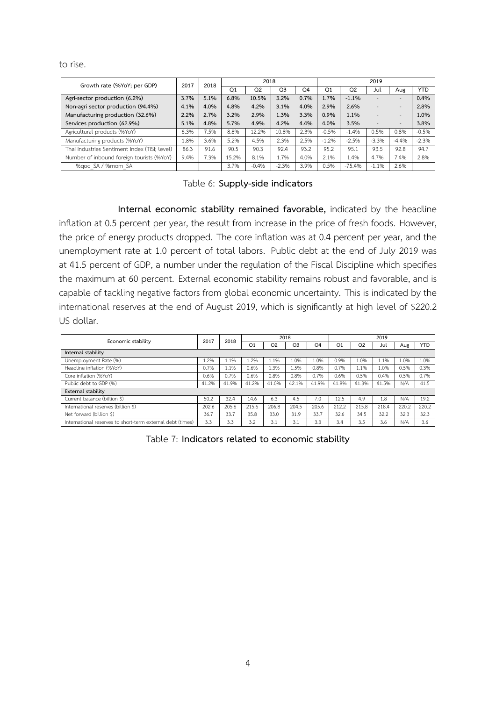to rise.

| Growth rate (%YoY; per GDP)                   | 2017 | 2018 |                | 2018           |                |                |                |                | 2019                     |                          |            |
|-----------------------------------------------|------|------|----------------|----------------|----------------|----------------|----------------|----------------|--------------------------|--------------------------|------------|
|                                               |      |      | O <sub>1</sub> | Q <sub>2</sub> | O <sub>3</sub> | O <sub>4</sub> | O <sub>1</sub> | O <sub>2</sub> | Jul                      | Aue                      | <b>YTD</b> |
| Agri-sector production (6.2%)                 | 3.7% | 5.1% | 6.8%           | 10.5%          | 3.2%           | 0.7%           | 1.7%           | $-1.1%$        | $\sim$                   | ۰.                       | 0.4%       |
| Non-agri sector production (94.4%)            | 4.1% | 4.0% | 4.8%           | 4.2%           | 3.1%           | 4.0%           | 2.9%           | 2.6%           | $\overline{\phantom{a}}$ |                          | 2.8%       |
| Manufacturing production (32.6%)              | 2.2% | 2.7% | 3.2%           | 2.9%           | 1.3%           | 3.3%           | 0.9%           | 1.1%           | $\sim$                   | $\sim$                   | 1.0%       |
| Services production (62.9%)                   | 5.1% | 4.8% | 5.7%           | 4.9%           | 4.2%           | 4.4%           | 4.0%           | 3.5%           |                          | $\overline{\phantom{a}}$ | 3.8%       |
| Agricultural products (%YoY)                  | 6.3% | 7.5% | 8.8%           | 12.2%          | 10.8%          | 2.3%           | $-0.5%$        | $-1.4%$        | 0.5%                     | 0.8%                     | $-0.5%$    |
| Manufacturing products (%YoY)                 | .8%  | 3.6% | 5.2%           | 4.5%           | 2.3%           | 2.5%           | $-1.2%$        | $-2.5%$        | $-3.3%$                  | $-4.4%$                  | $-2.3%$    |
| Thai Industries Sentiment Index (TISI; level) | 86.3 | 91.6 | 90.5           | 90.3           | 92.4           | 93.2           | 95.2           | 95.1           | 93.5                     | 92.8                     | 94.7       |
| Number of inbound foreign tourists (%YoY)     | 9.4% | 7.3% | 15.2%          | 8.1%           | .7%            | 4.0%           | 2.1%           | 1.4%           | 4.7%                     | 7.4%                     | 2.8%       |
| %gog SA / %mom SA                             |      |      | 3.7%           | $-0.4%$        | $-2.3%$        | 3.9%           | 0.5%           | $-75.4%$       | $-1.1%$                  | 2.6%                     |            |

Table 6: **Supply-side indicators**

**Internal economic stability remained favorable,** indicated by the headline inflation at 0.5 percent per year, the result from increase in the price of fresh foods. However, the price of energy products dropped. The core inflation was at 0.4 percent per year, and the unemployment rate at 1.0 percent of total labors. Public debt at the end of July 2019 was at 41.5 percent of GDP, a number under the regulation of the Fiscal Discipline which specifies the maximum at 60 percent. External economic stability remains robust and favorable, and is capable of tackling negative factors from global economic uncertainty. This is indicated by the international reserves at the end of August 2019, which is significantly at high level of \$220.2 US dollar.

| Economic stability                                         | 2017  | 2018  |       |                | 2018           |       |       |       | 2019  |       |            |  |
|------------------------------------------------------------|-------|-------|-------|----------------|----------------|-------|-------|-------|-------|-------|------------|--|
|                                                            |       |       | Q1    | Q <sub>2</sub> | Q <sub>3</sub> | Q4    | Q1    | Q2    | Jul   | Aug   | <b>YTD</b> |  |
| Internal stability                                         |       |       |       |                |                |       |       |       |       |       |            |  |
| Unemployment Rate (%)                                      | 1.2%  | .1%   | 1.2%  | 1.1%           | 1.0%           | 1.0%  | 0.9%  | 1.0%  | 1.1%  | 1.0%  | 1.0%       |  |
| Headline inflation (%YoY)                                  | 0.7%  | l.1%  | 0.6%  | 1.3%           | 1.5%           | 0.8%  | 0.7%  | 1.1%  | 1.0%  | 0.5%  | 0.3%       |  |
| Core inflation (%YoY)                                      | 0.6%  | 0.7%  | 0.6%  | 0.8%           | 0.8%           | 0.7%  | 0.6%  | 0.5%  | 0.4%  | 0.5%  | 0.7%       |  |
| Public debt to GDP (%)                                     | 41.2% | 41.9% | 41.2% | 41.0%          | 42.1%          | 41.9% | 41.8% | 41.3% | 41.5% | N/A   | 41.5       |  |
| <b>External stability</b>                                  |       |       |       |                |                |       |       |       |       |       |            |  |
| Current balance (billion \$)                               | 50.2  | 32.4  | 14.6  | 6.3            | 4.5            | 7.0   | 12.5  | 4.9   | 1.8   | N/A   | 19.2       |  |
| International reserves (billion \$)                        | 202.6 | 205.6 | 215.6 | 206.8          | 204.5          | 205.6 | 212.2 | 215.8 | 218.4 | 220.2 | 220.2      |  |
| Net forward (billion \$)                                   | 36.7  | 33.7  | 35.8  | 33.0           | 31.9           | 33.7  | 32.6  | 34.5  | 32.2  | 32.3  | 32.3       |  |
| International reserves to short-term external debt (times) | 3.3   | 3.3   | 3.2   | 3.1            | 3.1            | 3.3   | 3.4   | 3.5   | 3.6   | N/A   | 3.6        |  |

Table 7: **Indicators related to economic stability**